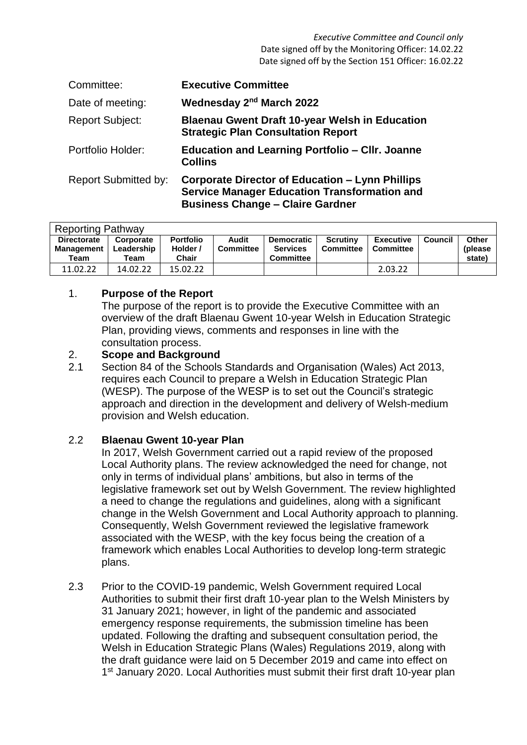| Committee:                  | <b>Executive Committee</b>                                                                                                                               |
|-----------------------------|----------------------------------------------------------------------------------------------------------------------------------------------------------|
| Date of meeting:            | Wednesday 2 <sup>nd</sup> March 2022                                                                                                                     |
| <b>Report Subject:</b>      | <b>Blaenau Gwent Draft 10-year Welsh in Education</b><br><b>Strategic Plan Consultation Report</b>                                                       |
| Portfolio Holder:           | <b>Education and Learning Portfolio - CIIr. Joanne</b><br><b>Collins</b>                                                                                 |
| <b>Report Submitted by:</b> | <b>Corporate Director of Education - Lynn Phillips</b><br><b>Service Manager Education Transformation and</b><br><b>Business Change - Claire Gardner</b> |

| <b>Reporting Pathway</b>  |                    |                   |                  |                                     |                  |                  |         |                    |  |  |
|---------------------------|--------------------|-------------------|------------------|-------------------------------------|------------------|------------------|---------|--------------------|--|--|
| <b>Directorate</b>        | Corporate          | <b>Portfolio</b>  | Audit            | <b>Democratic</b>                   | <b>Scrutiny</b>  | <b>Executive</b> | Council | Other              |  |  |
| <b>Management</b><br>Team | Leadership<br>Team | Holder /<br>Chair | <b>Committee</b> | <b>Services</b><br><b>Committee</b> | <b>Committee</b> | Committee        |         | (please)<br>state) |  |  |
| 11.02.22                  | 14.02.22           | 15.02.22          |                  |                                     |                  | 2.03.22          |         |                    |  |  |

## 1. **Purpose of the Report**

The purpose of the report is to provide the Executive Committee with an overview of the draft Blaenau Gwent 10-year Welsh in Education Strategic Plan, providing views, comments and responses in line with the consultation process.

### 2. **Scope and Background**

2.1 Section 84 of the Schools Standards and Organisation (Wales) Act 2013, requires each Council to prepare a Welsh in Education Strategic Plan (WESP). The purpose of the WESP is to set out the Council's strategic approach and direction in the development and delivery of Welsh-medium provision and Welsh education.

#### 2.2 **Blaenau Gwent 10-year Plan**

In 2017, Welsh Government carried out a rapid review of the proposed Local Authority plans. The review acknowledged the need for change, not only in terms of individual plans' ambitions, but also in terms of the legislative framework set out by Welsh Government. The review highlighted a need to change the regulations and guidelines, along with a significant change in the Welsh Government and Local Authority approach to planning. Consequently, Welsh Government reviewed the legislative framework associated with the WESP, with the key focus being the creation of a framework which enables Local Authorities to develop long-term strategic plans.

2.3 Prior to the COVID-19 pandemic, Welsh Government required Local Authorities to submit their first draft 10-year plan to the Welsh Ministers by 31 January 2021; however, in light of the pandemic and associated emergency response requirements, the submission timeline has been updated. Following the drafting and subsequent consultation period, the Welsh in Education Strategic Plans (Wales) Regulations 2019, along with the draft guidance were laid on 5 December 2019 and came into effect on 1<sup>st</sup> January 2020. Local Authorities must submit their first draft 10-year plan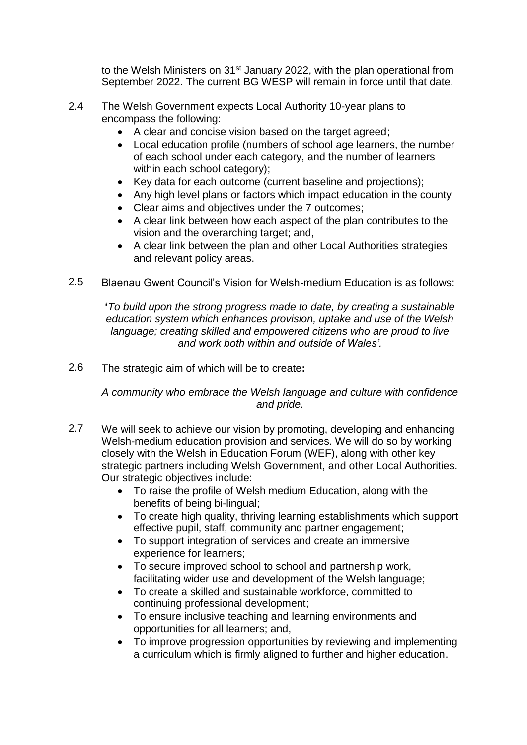to the Welsh Ministers on 31<sup>st</sup> January 2022, with the plan operational from September 2022. The current BG WESP will remain in force until that date.

- 2.4 The Welsh Government expects Local Authority 10-year plans to encompass the following:
	- A clear and concise vision based on the target agreed;
	- Local education profile (numbers of school age learners, the number of each school under each category, and the number of learners within each school category);
	- Key data for each outcome (current baseline and projections);
	- Any high level plans or factors which impact education in the county
	- Clear aims and objectives under the 7 outcomes;
	- A clear link between how each aspect of the plan contributes to the vision and the overarching target; and,
	- A clear link between the plan and other Local Authorities strategies and relevant policy areas.
- 2.5 Blaenau Gwent Council's Vision for Welsh-medium Education is as follows:

**'***To build upon the strong progress made to date, by creating a sustainable education system which enhances provision, uptake and use of the Welsh language; creating skilled and empowered citizens who are proud to live and work both within and outside of Wales'.*

2.6 The strategic aim of which will be to create**:**

> *A community who embrace the Welsh language and culture with confidence and pride.*

- 2.7 We will seek to achieve our vision by promoting, developing and enhancing Welsh-medium education provision and services. We will do so by working closely with the Welsh in Education Forum (WEF), along with other key strategic partners including Welsh Government, and other Local Authorities. Our strategic objectives include:
	- To raise the profile of Welsh medium Education, along with the benefits of being bi-lingual;
	- To create high quality, thriving learning establishments which support effective pupil, staff, community and partner engagement;
	- To support integration of services and create an immersive experience for learners;
	- To secure improved school to school and partnership work, facilitating wider use and development of the Welsh language;
	- To create a skilled and sustainable workforce, committed to continuing professional development;
	- To ensure inclusive teaching and learning environments and opportunities for all learners; and,
	- To improve progression opportunities by reviewing and implementing a curriculum which is firmly aligned to further and higher education.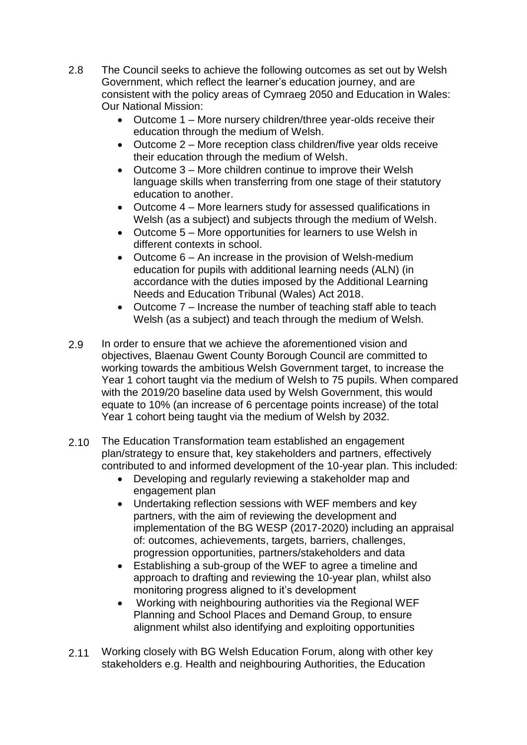- 2.8 The Council seeks to achieve the following outcomes as set out by Welsh Government, which reflect the learner's education journey, and are consistent with the policy areas of Cymraeg 2050 and Education in Wales: Our National Mission:
	- Outcome 1 More nursery children/three year-olds receive their education through the medium of Welsh.
	- Outcome 2 More reception class children/five year olds receive their education through the medium of Welsh.
	- Outcome 3 More children continue to improve their Welsh language skills when transferring from one stage of their statutory education to another.
	- Outcome 4 More learners study for assessed qualifications in Welsh (as a subject) and subjects through the medium of Welsh.
	- Outcome 5 More opportunities for learners to use Welsh in different contexts in school.
	- Outcome 6 An increase in the provision of Welsh-medium education for pupils with additional learning needs (ALN) (in accordance with the duties imposed by the Additional Learning Needs and Education Tribunal (Wales) Act 2018.
	- Outcome 7 Increase the number of teaching staff able to teach Welsh (as a subject) and teach through the medium of Welsh.
- 2.9 In order to ensure that we achieve the aforementioned vision and objectives, Blaenau Gwent County Borough Council are committed to working towards the ambitious Welsh Government target, to increase the Year 1 cohort taught via the medium of Welsh to 75 pupils. When compared with the 2019/20 baseline data used by Welsh Government, this would equate to 10% (an increase of 6 percentage points increase) of the total Year 1 cohort being taught via the medium of Welsh by 2032.
- 2.10 The Education Transformation team established an engagement plan/strategy to ensure that, key stakeholders and partners, effectively contributed to and informed development of the 10-year plan. This included:
	- Developing and regularly reviewing a stakeholder map and engagement plan
	- Undertaking reflection sessions with WEF members and key partners, with the aim of reviewing the development and implementation of the BG WESP (2017-2020) including an appraisal of: outcomes, achievements, targets, barriers, challenges, progression opportunities, partners/stakeholders and data
	- Establishing a sub-group of the WEF to agree a timeline and approach to drafting and reviewing the 10-year plan, whilst also monitoring progress aligned to it's development
	- Working with neighbouring authorities via the Regional WEF Planning and School Places and Demand Group, to ensure alignment whilst also identifying and exploiting opportunities
- 2.11 Working closely with BG Welsh Education Forum, along with other key stakeholders e.g. Health and neighbouring Authorities, the Education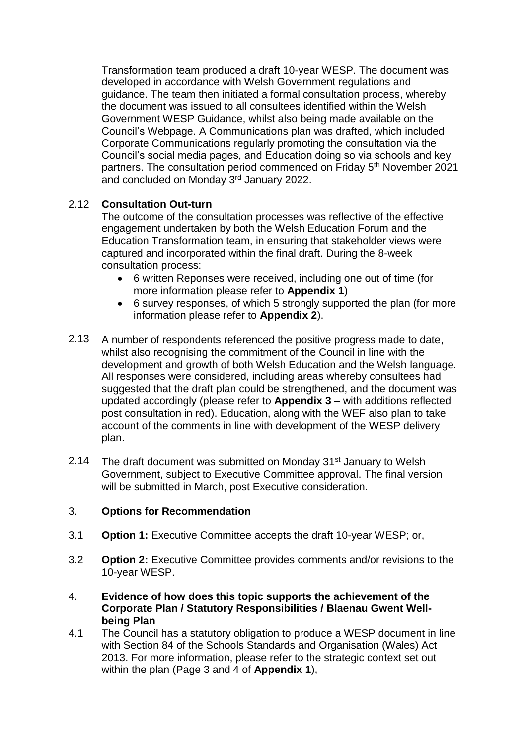Transformation team produced a draft 10-year WESP. The document was developed in accordance with Welsh Government regulations and guidance. The team then initiated a formal consultation process, whereby the document was issued to all consultees identified within the Welsh Government WESP Guidance, whilst also being made available on the Council's Webpage. A Communications plan was drafted, which included Corporate Communications regularly promoting the consultation via the Council's social media pages, and Education doing so via schools and key partners. The consultation period commenced on Friday 5<sup>th</sup> November 2021 and concluded on Monday 3rd January 2022.

#### 2.12 **Consultation Out-turn**

The outcome of the consultation processes was reflective of the effective engagement undertaken by both the Welsh Education Forum and the Education Transformation team, in ensuring that stakeholder views were captured and incorporated within the final draft. During the 8-week consultation process:

- 6 written Reponses were received, including one out of time (for more information please refer to **Appendix 1**)
- 6 survey responses, of which 5 strongly supported the plan (for more information please refer to **Appendix 2**).
- 2.13 A number of respondents referenced the positive progress made to date, whilst also recognising the commitment of the Council in line with the development and growth of both Welsh Education and the Welsh language. All responses were considered, including areas whereby consultees had suggested that the draft plan could be strengthened, and the document was updated accordingly (please refer to **Appendix 3** – with additions reflected post consultation in red). Education, along with the WEF also plan to take account of the comments in line with development of the WESP delivery plan.
- 2.14 The draft document was submitted on Monday 31<sup>st</sup> January to Welsh Government, subject to Executive Committee approval. The final version will be submitted in March, post Executive consideration.

### 3. **Options for Recommendation**

- 3.1 **Option 1:** Executive Committee accepts the draft 10-year WESP; or,
- 3.2 **Option 2:** Executive Committee provides comments and/or revisions to the 10-year WESP.
- 4. **Evidence of how does this topic supports the achievement of the Corporate Plan / Statutory Responsibilities / Blaenau Gwent Wellbeing Plan**
- 4.1 The Council has a statutory obligation to produce a WESP document in line with Section 84 of the Schools Standards and Organisation (Wales) Act 2013. For more information, please refer to the strategic context set out within the plan (Page 3 and 4 of **Appendix 1**),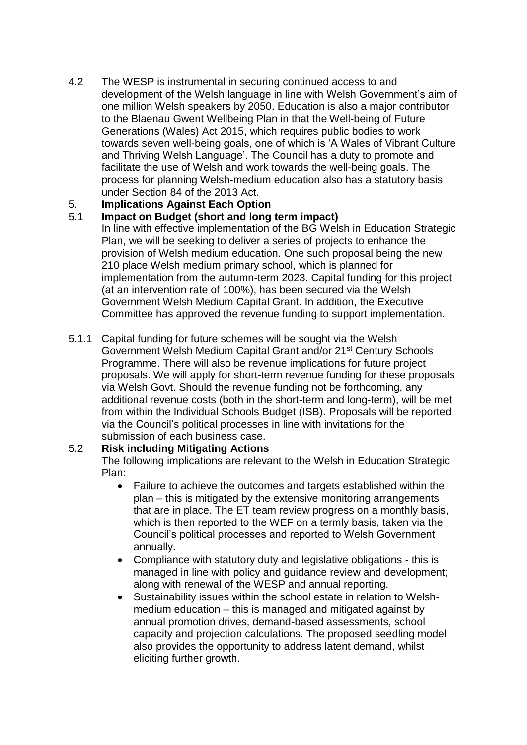4.2 The WESP is instrumental in securing continued access to and development of the Welsh language in line with Welsh Government's aim of one million Welsh speakers by 2050. Education is also a major contributor to the Blaenau Gwent Wellbeing Plan in that the Well-being of Future Generations (Wales) Act 2015, which requires public bodies to work towards seven well-being goals, one of which is 'A Wales of Vibrant Culture and Thriving Welsh Language'. The Council has a duty to promote and facilitate the use of Welsh and work towards the well-being goals. The process for planning Welsh-medium education also has a statutory basis under Section 84 of the 2013 Act.

## 5. **Implications Against Each Option**

#### 5.1 **Impact on Budget (short and long term impact)**

In line with effective implementation of the BG Welsh in Education Strategic Plan, we will be seeking to deliver a series of projects to enhance the provision of Welsh medium education. One such proposal being the new 210 place Welsh medium primary school, which is planned for implementation from the autumn-term 2023. Capital funding for this project (at an intervention rate of 100%), has been secured via the Welsh Government Welsh Medium Capital Grant. In addition, the Executive Committee has approved the revenue funding to support implementation.

5.1.1 Capital funding for future schemes will be sought via the Welsh Government Welsh Medium Capital Grant and/or 21<sup>st</sup> Century Schools Programme. There will also be revenue implications for future project proposals. We will apply for short-term revenue funding for these proposals via Welsh Govt. Should the revenue funding not be forthcoming, any additional revenue costs (both in the short-term and long-term), will be met from within the Individual Schools Budget (ISB). Proposals will be reported via the Council's political processes in line with invitations for the submission of each business case.

### 5.2 **Risk including Mitigating Actions**

The following implications are relevant to the Welsh in Education Strategic Plan:

- Failure to achieve the outcomes and targets established within the plan – this is mitigated by the extensive monitoring arrangements that are in place. The ET team review progress on a monthly basis, which is then reported to the WEF on a termly basis, taken via the Council's political processes and reported to Welsh Government annually.
- Compliance with statutory duty and legislative obligations this is managed in line with policy and guidance review and development; along with renewal of the WESP and annual reporting.
- Sustainability issues within the school estate in relation to Welshmedium education – this is managed and mitigated against by annual promotion drives, demand-based assessments, school capacity and projection calculations. The proposed seedling model also provides the opportunity to address latent demand, whilst eliciting further growth.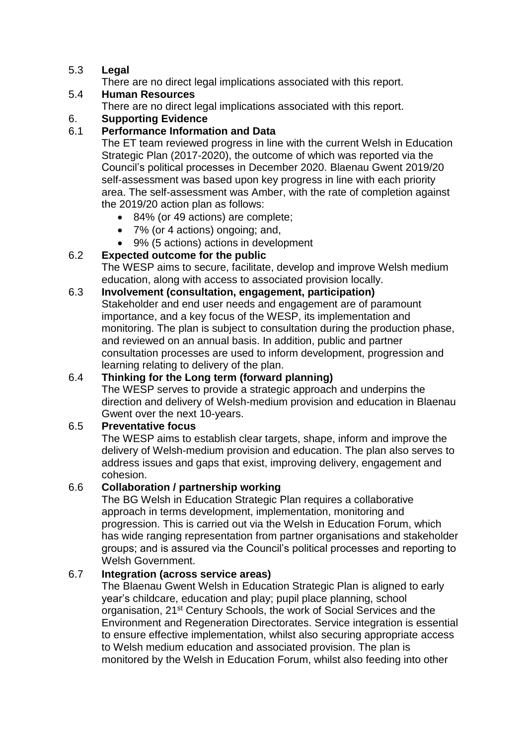# 5.3 **Legal**

There are no direct legal implications associated with this report.

## 5.4 **Human Resources**

There are no direct legal implications associated with this report.

## 6. **Supporting Evidence**

# 6.1 **Performance Information and Data**

The ET team reviewed progress in line with the current Welsh in Education Strategic Plan (2017-2020), the outcome of which was reported via the Council's political processes in December 2020. Blaenau Gwent 2019/20 self-assessment was based upon key progress in line with each priority area. The self-assessment was Amber, with the rate of completion against the 2019/20 action plan as follows:

- 84% (or 49 actions) are complete;
- 7% (or 4 actions) ongoing; and,
- 9% (5 actions) actions in development

# 6.2 **Expected outcome for the public**

The WESP aims to secure, facilitate, develop and improve Welsh medium education, along with access to associated provision locally.

## 6.3 **Involvement (consultation, engagement, participation)**

Stakeholder and end user needs and engagement are of paramount importance, and a key focus of the WESP, its implementation and monitoring. The plan is subject to consultation during the production phase, and reviewed on an annual basis. In addition, public and partner consultation processes are used to inform development, progression and learning relating to delivery of the plan.

# 6.4 **Thinking for the Long term (forward planning)**

The WESP serves to provide a strategic approach and underpins the direction and delivery of Welsh-medium provision and education in Blaenau Gwent over the next 10-years.

## 6.5 **Preventative focus**

The WESP aims to establish clear targets, shape, inform and improve the delivery of Welsh-medium provision and education. The plan also serves to address issues and gaps that exist, improving delivery, engagement and cohesion.

## 6.6 **Collaboration / partnership working**

The BG Welsh in Education Strategic Plan requires a collaborative approach in terms development, implementation, monitoring and progression. This is carried out via the Welsh in Education Forum, which has wide ranging representation from partner organisations and stakeholder groups; and is assured via the Council's political processes and reporting to Welsh Government.

## 6.7 **Integration (across service areas)**

The Blaenau Gwent Welsh in Education Strategic Plan is aligned to early year's childcare, education and play; pupil place planning, school organisation, 21st Century Schools, the work of Social Services and the Environment and Regeneration Directorates. Service integration is essential to ensure effective implementation, whilst also securing appropriate access to Welsh medium education and associated provision. The plan is monitored by the Welsh in Education Forum, whilst also feeding into other